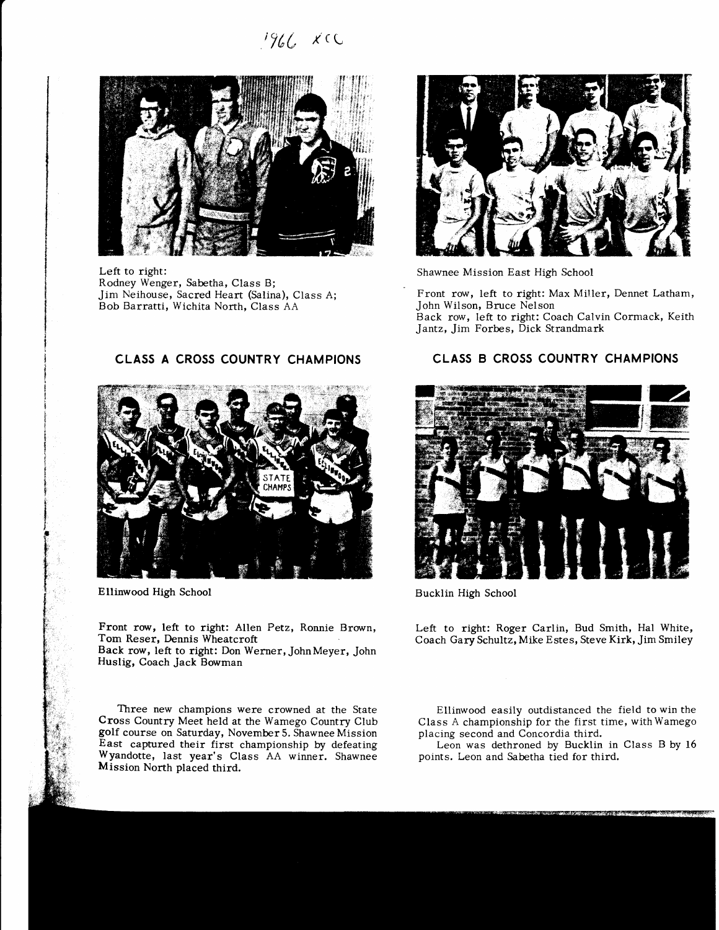t7(L r(L



Left to right: Rodney Wenger, Sabetha, Class B; Jim Neihouse, Sacred Heart (Salina), Class A; Bob Barratti, Wichita North, Class AA



Ellinwood High School

i t t: j {l \*;  $\mathfrak{f}$  .  $\bm{r}$ t t

> Front row, left to right: Allen Petz, Ronnie Brown, Tom Reser, Dennis Wheatcroft Back row, left to right: Don Werner,JohnMeyer, John Huslig, Coach Jack Bowman

> Three new champions were crowned at the State Cross Country Meet held at the Wamego Country Club golf course on Saturday, November 5. Shawnee Mission East captured their first championship by defeating Wyandotte, last year's Class AA winner. Shawnee Mission North placed third.



Shawnee Mission East High School

Front row, Ieft to right: Max Miller, Dennet Latham, John Wilson, Bruce Nelson

Back row, left to right: Coach Calvin Cormack, Keith Jantz, Jim Forbes, Dick Strandmark

# CLASS B CROSS COUNTRY CHAMPIONS



Bucklin High School

Left to right: Roger Carlin, Bud Smith, Hal White, Coach Gary Schultz, Mike Estes, Steve Kirk, Jim Smiley

Ellinwood easily outdistanced the field to win the Class A championship for the first time, with Wamego placing second and Concordia third.

Leon was dethroned by Bucklin in Class B by 16 points. Leon and Sabetha tied for third.

CLASS A CROSS COUNTRY CHAMPIONS